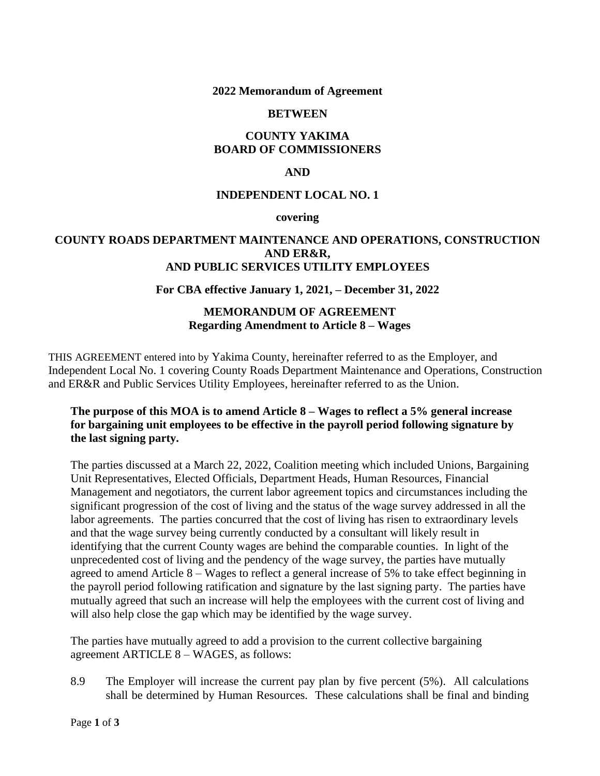## **2022 Memorandum of Agreement**

### **BETWEEN**

# **COUNTY YAKIMA BOARD OF COMMISSIONERS**

# **AND**

## **INDEPENDENT LOCAL NO. 1**

#### **covering**

## **COUNTY ROADS DEPARTMENT MAINTENANCE AND OPERATIONS, CONSTRUCTION AND ER&R, AND PUBLIC SERVICES UTILITY EMPLOYEES**

## **For CBA effective January 1, 2021, – December 31, 2022**

# **MEMORANDUM OF AGREEMENT Regarding Amendment to Article 8 – Wages**

THIS AGREEMENT entered into by Yakima County, hereinafter referred to as the Employer, and Independent Local No. 1 covering County Roads Department Maintenance and Operations, Construction and ER&R and Public Services Utility Employees, hereinafter referred to as the Union.

# **The purpose of this MOA is to amend Article 8 – Wages to reflect a 5% general increase for bargaining unit employees to be effective in the payroll period following signature by the last signing party.**

The parties discussed at a March 22, 2022, Coalition meeting which included Unions, Bargaining Unit Representatives, Elected Officials, Department Heads, Human Resources, Financial Management and negotiators, the current labor agreement topics and circumstances including the significant progression of the cost of living and the status of the wage survey addressed in all the labor agreements. The parties concurred that the cost of living has risen to extraordinary levels and that the wage survey being currently conducted by a consultant will likely result in identifying that the current County wages are behind the comparable counties. In light of the unprecedented cost of living and the pendency of the wage survey, the parties have mutually agreed to amend Article 8 – Wages to reflect a general increase of 5% to take effect beginning in the payroll period following ratification and signature by the last signing party. The parties have mutually agreed that such an increase will help the employees with the current cost of living and will also help close the gap which may be identified by the wage survey.

The parties have mutually agreed to add a provision to the current collective bargaining agreement ARTICLE 8 – WAGES, as follows:

8.9 The Employer will increase the current pay plan by five percent (5%). All calculations shall be determined by Human Resources. These calculations shall be final and binding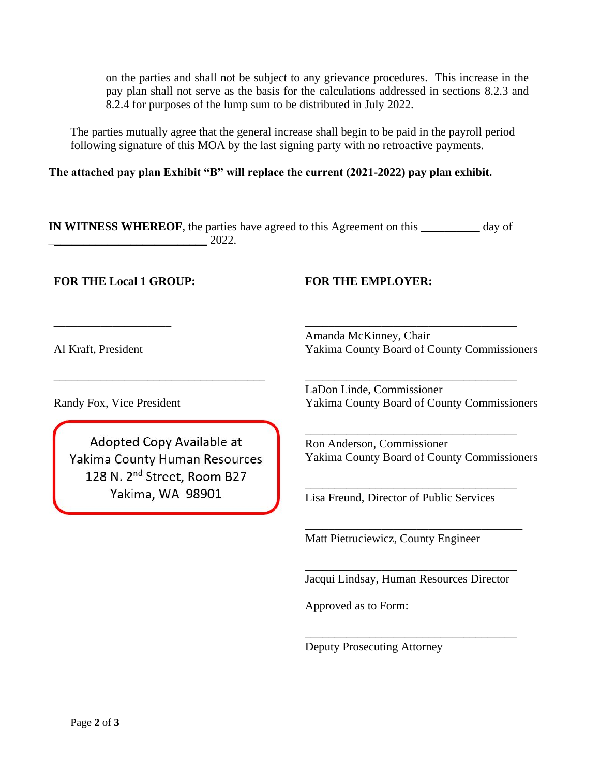on the parties and shall not be subject to any grievance procedures. This increase in the pay plan shall not serve as the basis for the calculations addressed in sections 8.2.3 and 8.2.4 for purposes of the lump sum to be distributed in July 2022.

The parties mutually agree that the general increase shall begin to be paid in the payroll period following signature of this MOA by the last signing party with no retroactive payments.

**The attached pay plan Exhibit "B" will replace the current (2021-2022) pay plan exhibit.** 

**IN WITNESS WHEREOF**, the parties have agreed to this Agreement on this **\_\_\_\_\_\_\_\_\_\_** day of  $2022.$ 

**FOR THE Local 1 GROUP: FOR THE EMPLOYER:**

Al Kraft, President

\_\_\_\_\_\_\_\_\_\_\_\_\_\_\_\_\_\_\_\_

Amanda McKinney, Chair Yakima County Board of County Commissioners

\_\_\_\_\_\_\_\_\_\_\_\_\_\_\_\_\_\_\_\_\_\_\_\_\_\_\_\_\_\_\_\_\_\_\_\_

\_\_\_\_\_\_\_\_\_\_\_\_\_\_\_\_\_\_\_\_\_\_\_\_\_\_\_\_\_\_\_\_\_\_\_\_

\_\_\_\_\_\_\_\_\_\_\_\_\_\_\_\_\_\_\_\_\_\_\_\_\_\_\_\_\_\_\_\_\_\_\_\_

\_\_\_\_\_\_\_\_\_\_\_\_\_\_\_\_\_\_\_\_\_\_\_\_\_\_\_\_\_\_\_\_\_\_\_\_

\_\_\_\_\_\_\_\_\_\_\_\_\_\_\_\_\_\_\_\_\_\_\_\_\_\_\_\_\_\_\_\_\_\_\_\_\_

Randy Fox, Vice President

Adopted Copy Available at Yakima County Human Resources 128 N. 2<sup>nd</sup> Street, Room B27 Yakima, WA 98901

\_\_\_\_\_\_\_\_\_\_\_\_\_\_\_\_\_\_\_\_\_\_\_\_\_\_\_\_\_\_\_\_\_\_\_\_

LaDon Linde, Commissioner Yakima County Board of County Commissioners

Ron Anderson, Commissioner Yakima County Board of County Commissioners

Lisa Freund, Director of Public Services

Matt Pietruciewicz, County Engineer

\_\_\_\_\_\_\_\_\_\_\_\_\_\_\_\_\_\_\_\_\_\_\_\_\_\_\_\_\_\_\_\_\_\_\_\_ Jacqui Lindsay, Human Resources Director

\_\_\_\_\_\_\_\_\_\_\_\_\_\_\_\_\_\_\_\_\_\_\_\_\_\_\_\_\_\_\_\_\_\_\_\_

Approved as to Form:

Deputy Prosecuting Attorney